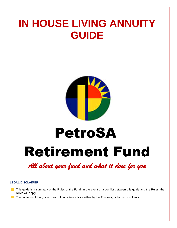## **IN HOUSE LIVING ANNUITY GUIDE**



# Retirement Fund PetroSA

*All about your fund and what it does for you* 

### **LEGAL DISCLAIMER**

- **This guide is a summary of the Rules of the Fund. In the event of a conflict between this guide and the Rules, the** Rules will apply.
- The contents of this guide does not constitute advice either by the Trustees, or by its consultants.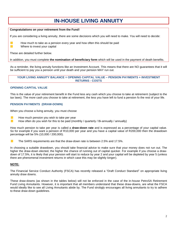### **IN-HOUSE LIVING ANNUITY**

### **Congratulations on your retirement from the Fund!**

If you are considering a living annuity, there are some decisions which you will need to make. You will need to decide:

How much to take as a pension every year and how often this should be paid Where to invest your capital

These are detailed further below.

 $\mathcal{L}_{\mathcal{A}}$ 

In addition, you must complete **the nomination of beneficiary form** which will be used in the payment of death benefits.

As a reminder, the living annuity functions like an Investment Account. This means that there are NO guarantees that it will be sufficient to pay you a pension until your death and your pension MAY run out.

**YOUR LIVING ANNUITY BALANCE = OPENING CAPITAL VALUE – PENSION PAYMENTS + INVESTMENT RETURNS - COSTS**

### **OPENING CAPITAL VALUE**

This is the value of your retirement benefit in the Fund less any cash which you choose to take at retirement (subject to the tax laws). The more cash you choose to take at retirement, the less you have left to fund a pension fo the rest of your life.

### **PENSION PAYMENTS (DRAW-DOWN)**

When you choose a living annuity, you must choose

- $\mathcal{L}_{\mathcal{A}}$ How much pension you wish to take per year
	- How often do you wish for this to be paid (monthly / quarterly / Bi-annually / annually)

How much pension to take per year is called a **draw-down rate** and is expressed as a percentage of your capital value. So for example if you want a pension of R10,000 per year and you have a capital value of R200,000 then the drawdown percentage will be 5% (10,000 / 200,000).

The SARS requirements are that the draw-down rate is between 2.5% and 17.5%.

In choosing a suitable drawdown, you should take financial advice to make sure that your money does not run out. The higher the draw-down elected, the higher the chance of running out of capital quicker. For example if you choose a drawdown of 17.5%, it is likely that your pension will start to reduce by year 2 and your capital will be depleted by year 5 (unless there are phenomenal investment returns in which case this may be slightly longer).

### **NOTE:**

The Financial Service Conduct Authority (FSCA) has recently released a "Draft Conduct Standard" on appropriate living annuity draw downs.

These draw-downs (as shown in the tables below) will not be enforced in the case of the in-house PetroSA Retirement Fund Living Annuitants. However, it is important that all members understand that these draw-downs, are what the FSCA would ideally like to see all Living Annuitants abide by. The Fund strobgly encourages all living annuitants to try to adhere to these draw-down guidelines.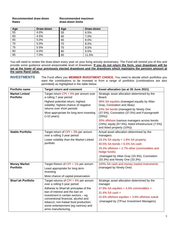### **Recommended draw-down Recommended maximun** Rates **Rates Rates draw-down limits**

| Age             | Draw-down | Age | Draw-down |
|-----------------|-----------|-----|-----------|
| 55              | 4.0%      | 55  | 6.5%      |
| 60              | 4.5%      | 60  | 7.0%      |
| 65              | 5.0%      | 65  | 8.0%      |
| 70              | 5.0%      | 70  | 8.0%      |
| 75              | 5.5%      | 75  | 8.5%      |
| $\overline{80}$ | 6.0%      | 80  | 9.5%      |
| 85              | 7.0%      | 85  | 11.5%     |

You will need to review the draw-down every year on your living annuity anniversary. The Fund will remind you of this and provide some guidance around areasonable level of drawdown. **If you do not return the form, your drawdown will be set at the lower of your previously elected drawdown and the drawdown which maintains the pension amount at the same Rand value.**

**INVESTMENTS** The Fund offers you **MEMBER INVESTMENT CHOICE.** You need to decide which portfolios you want the contributions to be invested in from a range of portfolios (combinations are also permitted) as highlighted in the table below.

| Portfolio name                           | <b>Target return and comment</b>                                                                                                                                                                                                                                                                                                     | Asset allocation (as at 30 June 2021)                                                                                                                                                                                                                                                                                                           |
|------------------------------------------|--------------------------------------------------------------------------------------------------------------------------------------------------------------------------------------------------------------------------------------------------------------------------------------------------------------------------------------|-------------------------------------------------------------------------------------------------------------------------------------------------------------------------------------------------------------------------------------------------------------------------------------------------------------------------------------------------|
| <b>Market Linked</b><br><b>Portfolio</b> | Target return CPI + 5% per annum over<br>a rolling 7 year period<br>Highest potential return; highest<br>volatility; highest chance of negative<br>returns over short periods<br>Most appropriate for long term investing<br>$($ >10 years $)$                                                                                       | Strategic asset allocation determined by the<br>Board.<br>46% SA equities (managed equally by Allan<br>Gray, Coronation and Abax)<br>24% SA bonds (managed by Ninety One<br>(37.5%), Coronation (37.5%) and Futuregrowth<br>(25%)<br>30% offshore (various managers across bonds<br>$(15%)$ ; equity $(67.5%)$ ; listed infrastructure $(7.5%)$ |
| <b>Stable Portfolio</b>                  |                                                                                                                                                                                                                                                                                                                                      | and listed property (10%))                                                                                                                                                                                                                                                                                                                      |
|                                          | Target return of CPI + 3% per annum<br>over a rolling 3 year period<br>Lower volatility than the Market Linked<br>portfolio                                                                                                                                                                                                          | Actual asset allocation determined by the<br>managers.<br>19.2% SA equity + 1.8% SA property<br>40.5% SA bonds + 6.5% SA cash<br>29.3% offshore + 2.7% other (commodities and<br>hedge funds)<br>(managed by Allan Gray (33.3%), Coronation<br>(33.3%) and Ninety One (33.3%)                                                                   |
| <b>Money Market</b><br><b>Portfolio</b>  | Target Return of CPI + 1% per annum<br>Least appropriate for long term<br>investing<br>Most chance of capital preservation                                                                                                                                                                                                           | 100% SA cash and money market instruments<br>(managed by Ninety One)                                                                                                                                                                                                                                                                            |
| Shari'ah Portfolio                       | Target returns of $CPI + 4%$ per annum<br>over a rolling 5 year period<br>Adheres to Shari'ah principles of the<br>ban of interest and the ban on<br>investment in certain sectors - eg<br>conventional financial, alcohol and<br>tobacco; non-halaal food production;<br>some entertainment (eg casinos) and<br>arms manufacturing. | Strategic asset allocation determined by the<br>manager<br>37.8% SA equities + 4.5% commodities +<br>31.6% SA cash +<br>22.6% offshore equities + 3.6% offshore sukuk<br>(managed by 27Four Investment Managers)                                                                                                                                |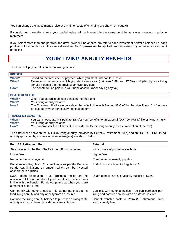You can change the investment choice at any time (costs of changing are shown on page 6).

If you do not make this choice your capital value will be invested in the same portfolio as it was invested in prior to retirement.

If you select more than one portfolio, the draw-down will be applied pro-rata to each investment portfolio balance i.e. each portfolio will be debited with the same draw-down %. Expenses will be applied proportionately to your various investment portfolios.

### **YOUR LIVING ANNUITY BENEFITS**

The Fund will pay benefits on the following events:

| <b>PENSION</b>        |                                                                                                                                                          |  |
|-----------------------|----------------------------------------------------------------------------------------------------------------------------------------------------------|--|
| When?                 | Based on the frequency of payment which you elect until capital runs out                                                                                 |  |
| What?                 | Draw-down percentage which you elect every year (between 2.5% and 17.5%) multiplied by your living<br>annuity balance (on the previous anniversary date) |  |
| How?                  | The benefit will be paid into your bank account (after paying any tax)                                                                                   |  |
| <b>DEATH BENEFITS</b> |                                                                                                                                                          |  |
| When?                 | When you die while being a pensioner of the Fund                                                                                                         |  |

| .     | This is you are mimo boing a poncion of the Fand                                                           |
|-------|------------------------------------------------------------------------------------------------------------|
| What? | Your living annuity balance                                                                                |
| How?  | The Trustees will allocate your death benefits in line with Section 37 C of the Pension Funds Act (but may |
|       | be guided by your beneficiary nomination form)                                                             |

### **TRANSFER BENEFITS**

| When?    | You can choose at ANY point to transfer your benefits to an external (OUT OF FUND) life or living annuity |
|----------|-----------------------------------------------------------------------------------------------------------|
| What?    | Your living annuity balance                                                                               |
| $H_{OM}$ | You can transfer the full benefit to an external life or living appuity (or a combination of the two)     |

**How?** You can transfer the full benefit to an external life or living annuity (or a combination of the two)

The differences between the IN FUND living annuity (provided by PetroSA Retirement Fund) and an OUT OF FUND living annuity (provided by insurers or asset managers) are shown below:

| <b>PetroSA Retirement Fund</b>                                                                                                                                                                                 | <b>External</b>                                                                                                |
|----------------------------------------------------------------------------------------------------------------------------------------------------------------------------------------------------------------|----------------------------------------------------------------------------------------------------------------|
| Stay invested in the PetroSA Retirment Fund portfolios                                                                                                                                                         | Wide choice of portfolios available                                                                            |
| Lower fees                                                                                                                                                                                                     | Higher fees                                                                                                    |
| No commission is payable                                                                                                                                                                                       | Commission is usually payable                                                                                  |
| Portfolios are Regulation 28 compliant – as per the Pension<br>Funds Act, limitations on amount which can be invested<br>offshore or in equities                                                               | Portfolios not subject to Regulation 28                                                                        |
| S37C death distribution $-$ i.e. Trustees decide on the<br>allocation of the remainder of your benefits to beneficiaries<br>in line with the Pension Funds Act (same as when you were<br>a member of the Fund) | Death benefits are not typically subject to S37C                                                               |
| Cannot mix with other annuities – ie cannot purchase an in<br>fund living annuity and any annuity from an insurer                                                                                              | Can mix with other annuities $-$ so can purchase part<br>living and part life annuity with an external insurer |
| Can use the living annuity balance to purchase a living of life<br>annuity from an external provider anytime in future                                                                                         | Cannot transfer back to PetroSA Retirement Fund<br>living annuity later                                        |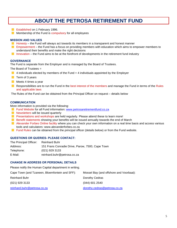### **ABOUT THE PETROSA RETIREMENT FUND**

- **Exablished on 1 February 1996.**
- $\blacksquare$  Membership of the Fund is compulsory for all employees

### **MISSION AND VALUES**

- **H** Honesty the Fund will always act towards its members in a transparent and honest manner
- **E** Empowerment the Fund has a focus on providing members with education which aims to empower members to understand their benefits and make the right decisions
- Innovation the Fund aims to be at the forefront of developments in the retirement fund industry

#### **GOVERNANCE**

The Fund is separate from the Employer and is managed by the Board of Trustees.

The Board of Trustees =

- $\blacksquare$  4 individuals elected by members of the Fund + 4 individuals appointed by the Employer
- $\blacksquare$  Term of 3 years
- Meets 4 times a year
- **Responsibilities are to run the Fund in the best interest of the members and manage the Fund in terms of the Rules** and applicable laws

The Rules of the Fund can be obtained from the Principal Officer on request – details below

#### **COMMUNICATION**

More information is provided via the following:

- **Fund Website for all Fund information: [www.petrosaretirementfund.co.za](http://www.petrosaretirementfund.co.za/)**
- $\blacksquare$  Newsletters will be issued quarterly
- **PF** Presentations and workshops are held regularly. Please attend these to learn more!
- **Benefit statements showing your benefits will be issued annually towards the end of March**
- Alexander Forbes Online facility where you can check your own information on a real time basis and access various tools and calculators: www.alexanderforbes.co.za
- **Fund Rules can be obtained from the principal officer (details below) or from the Fund website.**

### **QUESTIONS OR QUERIES- PLEASE CONTACT:**

| The Principal Officer: | <b>Reinhard Buhr</b>                             |
|------------------------|--------------------------------------------------|
| Address:               | 151 Frans Conradie Drive, Parow, 7500, Cape Town |
| Telephone:             | (021) 929 3133                                   |
| E-Mail:                | reinhard.buhr@petrosa.co.za                      |

#### **CHANGE IN ADDRESS OR PERSONAL DETAILS**

Please notify the Human Capital department in writing.

| Cape Town (and Tzaneen, Bloemfontein and SFF): | Mossel Bay (and offshore and Voorbaai): |
|------------------------------------------------|-----------------------------------------|
| <b>Reinhard Buhr</b>                           | Dorothy Cedras                          |
| $(021)$ 929 3133                               | $(044)$ 601 2540                        |
| reinhard.buhr@petrosa.co.za                    | dorothy.cedras@petrosa.co.za            |